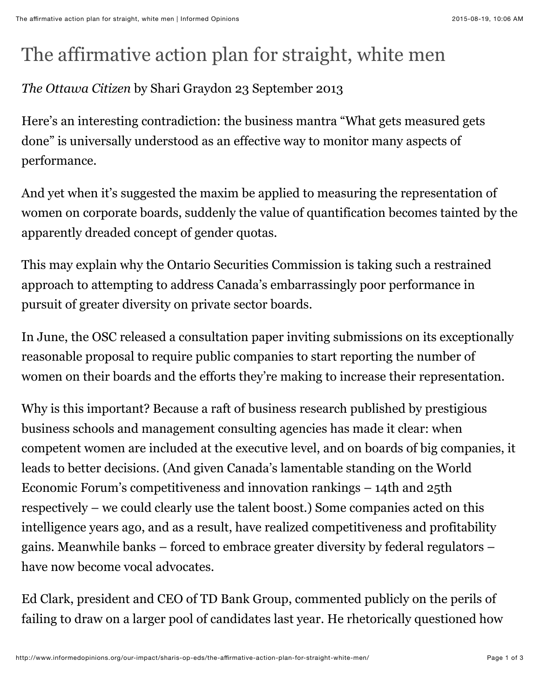## The affirmative action plan for straight, white men

## *The Ottawa Citizen* by Shari Graydon 23 September 2013

Here's an interesting contradiction: the business mantra "What gets measured gets done" is universally understood as an effective way to monitor many aspects of performance.

And yet when it's suggested the maxim be applied to measuring the representation of women on corporate boards, suddenly the value of quantification becomes tainted by the apparently dreaded concept of gender quotas.

This may explain why the Ontario Securities Commission is taking such a restrained approach to attempting to address Canada's embarrassingly poor performance in pursuit of greater diversity on private sector boards.

In June, the OSC released a consultation paper inviting submissions on its exceptionally reasonable proposal to require public companies to start reporting the number of women on their boards and the efforts they're making to increase their representation.

Why is this important? Because a raft of business research published by prestigious business schools and management consulting agencies has made it clear: when competent women are included at the executive level, and on boards of big companies, it leads to better decisions. (And given Canada's lamentable standing on the World Economic Forum's competitiveness and innovation rankings – 14th and 25th respectively – we could clearly use the talent boost.) Some companies acted on this intelligence years ago, and as a result, have realized competitiveness and profitability gains. Meanwhile banks – forced to embrace greater diversity by federal regulators – have now become vocal advocates.

Ed Clark, president and CEO of TD Bank Group, commented publicly on the perils of failing to draw on a larger pool of candidates last year. He rhetorically questioned how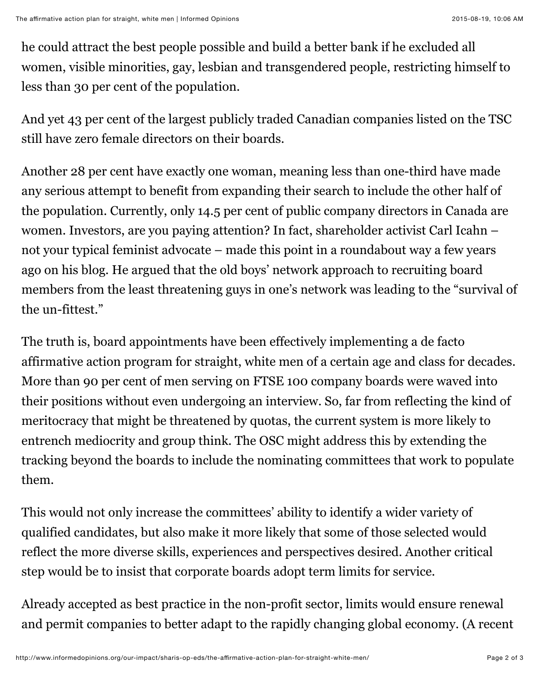he could attract the best people possible and build a better bank if he excluded all women, visible minorities, gay, lesbian and transgendered people, restricting himself to less than 30 per cent of the population.

And yet 43 per cent of the largest publicly traded Canadian companies listed on the TSC still have zero female directors on their boards.

Another 28 per cent have exactly one woman, meaning less than one-third have made any serious attempt to benefit from expanding their search to include the other half of the population. Currently, only 14.5 per cent of public company directors in Canada are women. Investors, are you paying attention? In fact, shareholder activist Carl Icahn – not your typical feminist advocate – made this point in a roundabout way a few years ago on his blog. He argued that the old boys' network approach to recruiting board members from the least threatening guys in one's network was leading to the "survival of the un-fittest."

The truth is, board appointments have been effectively implementing a de facto affirmative action program for straight, white men of a certain age and class for decades. More than 90 per cent of men serving on FTSE 100 company boards were waved into their positions without even undergoing an interview. So, far from reflecting the kind of meritocracy that might be threatened by quotas, the current system is more likely to entrench mediocrity and group think. The OSC might address this by extending the tracking beyond the boards to include the nominating committees that work to populate them.

This would not only increase the committees' ability to identify a wider variety of qualified candidates, but also make it more likely that some of those selected would reflect the more diverse skills, experiences and perspectives desired. Another critical step would be to insist that corporate boards adopt term limits for service.

Already accepted as best practice in the non-profit sector, limits would ensure renewal and permit companies to better adapt to the rapidly changing global economy. (A recent